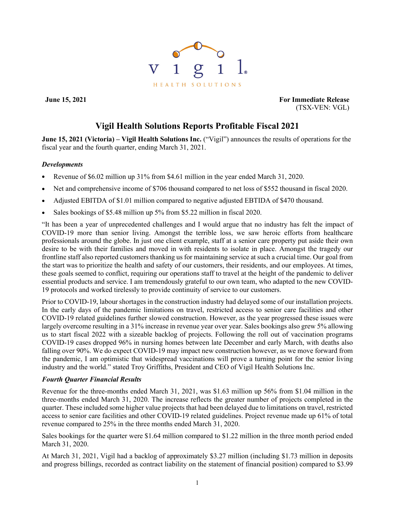

**June 15, 2021 For Immediate Release** (TSX-VEN: VGL)

# **Vigil Health Solutions Reports Profitable Fiscal 2021**

**June 15, 2021 (Victoria) – Vigil Health Solutions Inc.** ("Vigil") announces the results of operations for the fiscal year and the fourth quarter, ending March 31, 2021.

## *Developments*

- Revenue of \$6.02 million up 31% from \$4.61 million in the year ended March 31, 2020.
- Net and comprehensive income of \$706 thousand compared to net loss of \$552 thousand in fiscal 2020.
- Adjusted EBITDA of \$1.01 million compared to negative adjusted EBTIDA of \$470 thousand.
- Sales bookings of \$5.48 million up 5% from \$5.22 million in fiscal 2020.

"It has been a year of unprecedented challenges and I would argue that no industry has felt the impact of COVID-19 more than senior living. Amongst the terrible loss, we saw heroic efforts from healthcare professionals around the globe. In just one client example, staff at a senior care property put aside their own desire to be with their families and moved in with residents to isolate in place. Amongst the tragedy our frontline staff also reported customers thanking us for maintaining service at such a crucial time. Our goal from the start was to prioritize the health and safety of our customers, their residents, and our employees. At times, these goals seemed to conflict, requiring our operations staff to travel at the height of the pandemic to deliver essential products and service. I am tremendously grateful to our own team, who adapted to the new COVID-19 protocols and worked tirelessly to provide continuity of service to our customers.

Prior to COVID-19, labour shortages in the construction industry had delayed some of our installation projects. In the early days of the pandemic limitations on travel, restricted access to senior care facilities and other COVID-19 related guidelines further slowed construction. However, as the year progressed these issues were largely overcome resulting in a 31% increase in revenue year over year. Sales bookings also grew 5% allowing us to start fiscal 2022 with a sizeable backlog of projects. Following the roll out of vaccination programs COVID-19 cases dropped 96% in nursing homes between late December and early March, with deaths also falling over 90%. We do expect COVID-19 may impact new construction however, as we move forward from the pandemic, I am optimistic that widespread vaccinations will prove a turning point for the senior living industry and the world." stated Troy Griffiths, President and CEO of Vigil Health Solutions Inc.

## *Fourth Quarter Financial Results*

Revenue for the three-months ended March 31, 2021, was \$1.63 million up 56% from \$1.04 million in the three-months ended March 31, 2020. The increase reflects the greater number of projects completed in the quarter. These included some higher value projects that had been delayed due to limitations on travel, restricted access to senior care facilities and other COVID-19 related guidelines. Project revenue made up 61% of total revenue compared to 25% in the three months ended March 31, 2020.

Sales bookings for the quarter were \$1.64 million compared to \$1.22 million in the three month period ended March 31, 2020.

At March 31, 2021, Vigil had a backlog of approximately \$3.27 million (including \$1.73 million in deposits and progress billings, recorded as contract liability on the statement of financial position) compared to \$3.99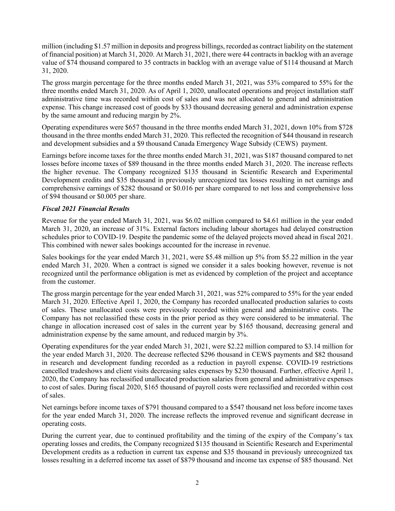million (including \$1.57 million in deposits and progress billings, recorded as contract liability on the statement of financial position) at March 31, 2020. At March 31, 2021, there were 44 contracts in backlog with an average value of \$74 thousand compared to 35 contracts in backlog with an average value of \$114 thousand at March 31, 2020.

The gross margin percentage for the three months ended March 31, 2021, was 53% compared to 55% for the three months ended March 31, 2020. As of April 1, 2020, unallocated operations and project installation staff administrative time was recorded within cost of sales and was not allocated to general and administration expense. This change increased cost of goods by \$33 thousand decreasing general and administration expense by the same amount and reducing margin by 2%.

Operating expenditures were \$657 thousand in the three months ended March 31, 2021, down 10% from \$728 thousand in the three months ended March 31, 2020. This reflected the recognition of \$44 thousand in research and development subsidies and a \$9 thousand Canada Emergency Wage Subsidy (CEWS) payment.

Earnings before income taxes for the three months ended March 31, 2021, was \$187 thousand compared to net losses before income taxes of \$89 thousand in the three months ended March 31, 2020. The increase reflects the higher revenue. The Company recognized \$135 thousand in Scientific Research and Experimental Development credits and \$35 thousand in previously unrecognized tax losses resulting in net earnings and comprehensive earnings of \$282 thousand or \$0.016 per share compared to net loss and comprehensive loss of \$94 thousand or \$0.005 per share.

# *Fiscal 2021 Financial Results*

Revenue for the year ended March 31, 2021, was \$6.02 million compared to \$4.61 million in the year ended March 31, 2020, an increase of 31%. External factors including labour shortages had delayed construction schedules prior to COVID-19. Despite the pandemic some of the delayed projects moved ahead in fiscal 2021. This combined with newer sales bookings accounted for the increase in revenue.

Sales bookings for the year ended March 31, 2021, were \$5.48 million up 5% from \$5.22 million in the year ended March 31, 2020. When a contract is signed we consider it a sales booking however, revenue is not recognized until the performance obligation is met as evidenced by completion of the project and acceptance from the customer.

The gross margin percentage for the year ended March 31, 2021, was 52% compared to 55% for the year ended March 31, 2020. Effective April 1, 2020, the Company has recorded unallocated production salaries to costs of sales. These unallocated costs were previously recorded within general and administrative costs. The Company has not reclassified these costs in the prior period as they were considered to be immaterial. The change in allocation increased cost of sales in the current year by \$165 thousand, decreasing general and administration expense by the same amount, and reduced margin by 3%.

Operating expenditures for the year ended March 31, 2021, were \$2.22 million compared to \$3.14 million for the year ended March 31, 2020. The decrease reflected \$296 thousand in CEWS payments and \$82 thousand in research and development funding recorded as a reduction in payroll expense. COVID-19 restrictions cancelled tradeshows and client visits decreasing sales expenses by \$230 thousand. Further, effective April 1, 2020, the Company has reclassified unallocated production salaries from general and administrative expenses to cost of sales. During fiscal 2020, \$165 thousand of payroll costs were reclassified and recorded within cost of sales.

Net earnings before income taxes of \$791 thousand compared to a \$547 thousand net loss before income taxes for the year ended March 31, 2020. The increase reflects the improved revenue and significant decrease in operating costs.

During the current year, due to continued profitability and the timing of the expiry of the Company's tax operating losses and credits, the Company recognized \$135 thousand in Scientific Research and Experimental Development credits as a reduction in current tax expense and \$35 thousand in previously unrecognized tax losses resulting in a deferred income tax asset of \$879 thousand and income tax expense of \$85 thousand. Net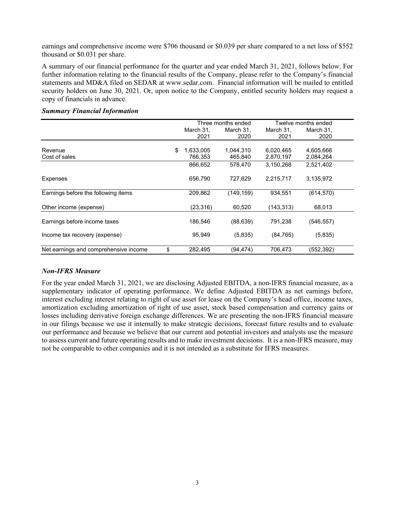earnings and comprehensive income were \$706 thousand or \$0.039 per share compared to a net loss of \$552 thousand or \$0.031 per share.

A summary of our financial performance for the quarter and year ended March 31, 2021, follows below. For further information relating to the financial results of the Company, please refer to the Company's financial statements and MD&A filed on SEDAR at www.sedar.com. Financial information will be mailed to entitled security holders on June 30, 2021. Or, upon notice to the Company, entitled security holders may request a copy of financials in advance.

|                                       | Three months ended |            | Twelve months ended |            |
|---------------------------------------|--------------------|------------|---------------------|------------|
|                                       | March 31.          | March 31,  | March 31.           | March 31,  |
|                                       | 2021               | 2020       | 2021                | 2020       |
|                                       |                    |            |                     |            |
| Revenue                               | \$<br>1,633,005    | 1,044,310  | 6,020,465           | 4,605,666  |
| Cost of sales                         | 766,353            | 465,840    | 2,870,197           | 2,084,264  |
|                                       | 866,652            | 578.470    | 3,150,268           | 2,521,402  |
| <b>Expenses</b>                       | 656,790            | 727,629    | 2,215,717           | 3,135,972  |
| Earnings before the following items   | 209,862            | (149, 159) | 934.551             | (614, 570) |
| Other income (expense)                | (23, 316)          | 60,520     | (143, 313)          | 68,013     |
| Earnings before income taxes          | 186,546            | (88, 639)  | 791,238             | (546, 557) |
| Income tax recovery (expense)         | 95,949             | (5,835)    | (84, 765)           | (5,835)    |
| Net earnings and comprehensive income | \$<br>282,495      | (94,474)   | 706,473             | (552,392)  |

#### *Summary Financial Information*

#### *Non-IFRS Measure*

For the year ended March 31, 2021, we are disclosing Adjusted EBITDA, a non-IFRS financial measure, as a supplementary indicator of operating performance. We define Adjusted EBITDA as net earnings before, interest excluding interest relating to right of use asset for lease on the Company's head office, income taxes, amortization excluding amortization of right of use asset, stock based compensation and currency gains or losses including derivative foreign exchange differences. We are presenting the non-IFRS financial measure in our filings because we use it internally to make strategic decisions, forecast future results and to evaluate our performance and because we believe that our current and potential investors and analysts use the measure to assess current and future operating results and to make investment decisions. It is a non-IFRS measure, may not be comparable to other companies and it is not intended as a substitute for IFRS measures.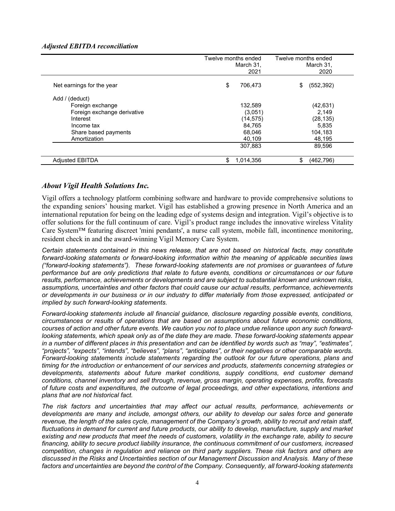## *Adjusted EBITDA reconciliation*

|                             | Twelve months ended<br>March 31,<br>2021 | Twelve months ended<br>March 31,<br>2020 |
|-----------------------------|------------------------------------------|------------------------------------------|
| Net earnings for the year   | \$<br>706,473                            | (552, 392)<br>\$                         |
| Add / (deduct)              |                                          |                                          |
| Foreign exchange            | 132,589                                  | (42, 631)                                |
| Foreign exchange derivative | (3,051)                                  | 2.149                                    |
| Interest                    | (14,575)                                 | (28, 135)                                |
| Income tax                  | 84,765                                   | 5,835                                    |
| Share based payments        | 68.046                                   | 104.183                                  |
| Amortization                | 40,109                                   | 48,195                                   |
|                             | 307,883                                  | 89.596                                   |
| <b>Adjusted EBITDA</b>      | \$<br>1,014,356                          | \$<br>(462, 796)                         |

# *About Vigil Health Solutions Inc.*

Vigil offers a technology platform combining software and hardware to provide comprehensive solutions to the expanding seniors' housing market. Vigil has established a growing presence in North America and an international reputation for being on the leading edge of systems design and integration. Vigil's objective is to offer solutions for the full continuum of care. Vigil's product range includes the innovative wireless Vitality Care System™ featuring discreet 'mini pendants', a nurse call system, mobile fall, incontinence monitoring, resident check in and the award-winning Vigil Memory Care System.

*Certain statements contained in this news release, that are not based on historical facts, may constitute forward-looking statements or forward-looking information within the meaning of applicable securities laws ("forward-looking statements"). These forward-looking statements are not promises or guarantees of future performance but are only predictions that relate to future events, conditions or circumstances or our future results, performance, achievements or developments and are subject to substantial known and unknown risks, assumptions, uncertainties and other factors that could cause our actual results, performance, achievements or developments in our business or in our industry to differ materially from those expressed, anticipated or implied by such forward-looking statements.*

*Forward-looking statements include all financial guidance, disclosure regarding possible events, conditions, circumstances or results of operations that are based on assumptions about future economic conditions, courses of action and other future events. We caution you not to place undue reliance upon any such forwardlooking statements, which speak only as of the date they are made. These forward-looking statements appear in a number of different places in this presentation and can be identified by words such as "may", "estimates", "projects", "expects", "intends", "believes", "plans", "anticipates", or their negatives or other comparable words. Forward-looking statements include statements regarding the outlook for our future operations, plans and timing for the introduction or enhancement of our services and products, statements concerning strategies or developments, statements about future market conditions, supply conditions, end customer demand conditions, channel inventory and sell through, revenue, gross margin, operating expenses, profits, forecasts of future costs and expenditures, the outcome of legal proceedings, and other expectations, intentions and plans that are not historical fact.*

*The risk factors and uncertainties that may affect our actual results, performance, achievements or developments are many and include, amongst others, our ability to develop our sales force and generate revenue, the length of the sales cycle, management of the Company's growth, ability to recruit and retain staff,*  fluctuations in demand for current and future products, our ability to develop, manufacture, supply and market existing and new products that meet the needs of customers, volatility in the exchange rate, ability to secure *financing, ability to secure product liability insurance, the continuous commitment of our customers, increased competition, changes in regulation and reliance on third party suppliers. These risk factors and others are discussed in the Risks and Uncertainties section of our Management Discussion and Analysis. Many of these factors and uncertainties are beyond the control of the Company. Consequently, all forward-looking statements*